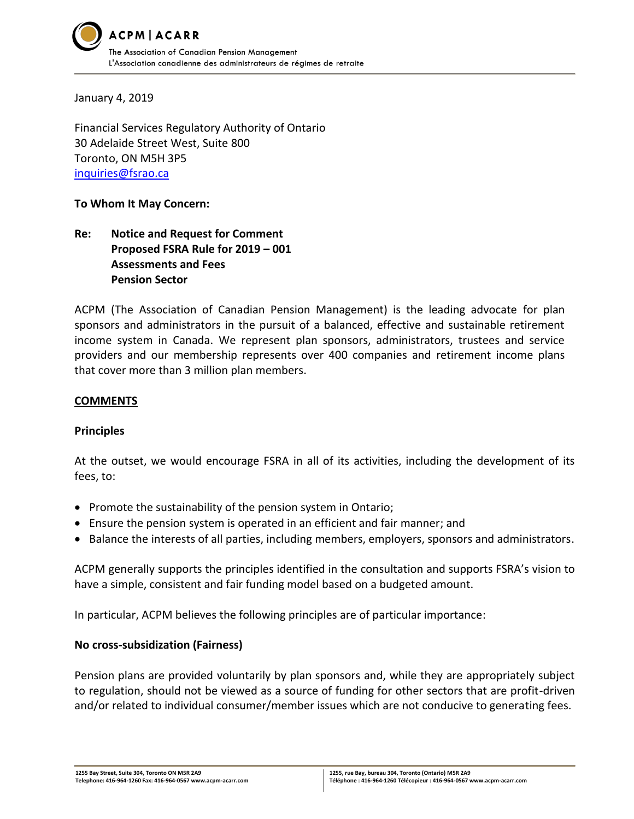

January 4, 2019

Financial Services Regulatory Authority of Ontario 30 Adelaide Street West, Suite 800 Toronto, ON M5H 3P5 [inquiries@fsrao.ca](mailto:inquiries@fsrao.ca)

#### **To Whom It May Concern:**

# **Re: Notice and Request for Comment Proposed FSRA Rule for 2019 – 001 Assessments and Fees Pension Sector**

ACPM (The Association of Canadian Pension Management) is the leading advocate for plan sponsors and administrators in the pursuit of a balanced, effective and sustainable retirement income system in Canada. We represent plan sponsors, administrators, trustees and service providers and our membership represents over 400 companies and retirement income plans that cover more than 3 million plan members.

#### **COMMENTS**

#### **Principles**

At the outset, we would encourage FSRA in all of its activities, including the development of its fees, to:

- Promote the sustainability of the pension system in Ontario;
- Ensure the pension system is operated in an efficient and fair manner; and
- Balance the interests of all parties, including members, employers, sponsors and administrators.

ACPM generally supports the principles identified in the consultation and supports FSRA's vision to have a simple, consistent and fair funding model based on a budgeted amount.

In particular, ACPM believes the following principles are of particular importance:

#### **No cross-subsidization (Fairness)**

Pension plans are provided voluntarily by plan sponsors and, while they are appropriately subject to regulation, should not be viewed as a source of funding for other sectors that are profit-driven and/or related to individual consumer/member issues which are not conducive to generating fees.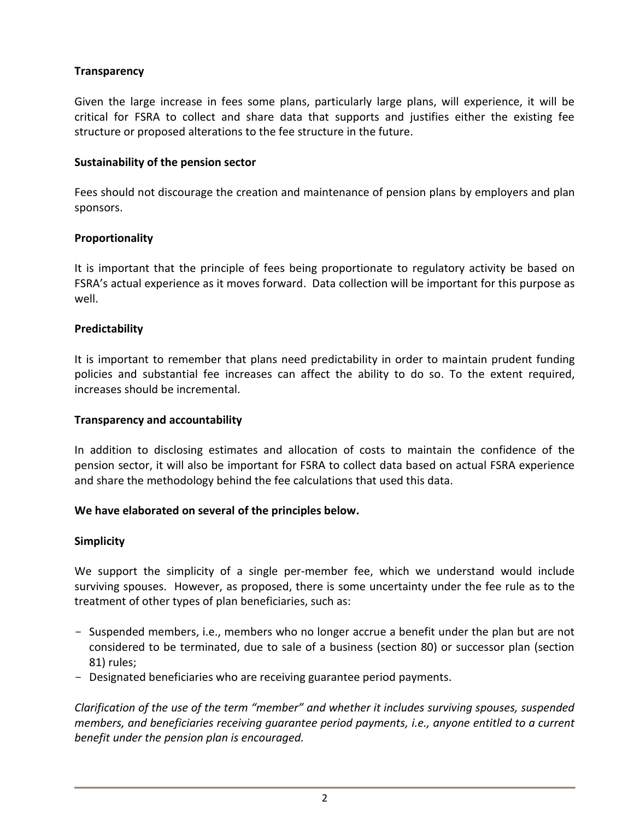# **Transparency**

Given the large increase in fees some plans, particularly large plans, will experience, it will be critical for FSRA to collect and share data that supports and justifies either the existing fee structure or proposed alterations to the fee structure in the future.

#### **Sustainability of the pension sector**

Fees should not discourage the creation and maintenance of pension plans by employers and plan sponsors.

### **Proportionality**

It is important that the principle of fees being proportionate to regulatory activity be based on FSRA's actual experience as it moves forward. Data collection will be important for this purpose as well.

### **Predictability**

It is important to remember that plans need predictability in order to maintain prudent funding policies and substantial fee increases can affect the ability to do so. To the extent required, increases should be incremental.

#### **Transparency and accountability**

In addition to disclosing estimates and allocation of costs to maintain the confidence of the pension sector, it will also be important for FSRA to collect data based on actual FSRA experience and share the methodology behind the fee calculations that used this data.

### **We have elaborated on several of the principles below.**

#### **Simplicity**

We support the simplicity of a single per-member fee, which we understand would include surviving spouses. However, as proposed, there is some uncertainty under the fee rule as to the treatment of other types of plan beneficiaries, such as:

- Suspended members, i.e., members who no longer accrue a benefit under the plan but are not considered to be terminated, due to sale of a business (section 80) or successor plan (section 81) rules;
- Designated beneficiaries who are receiving guarantee period payments.

*Clarification of the use of the term "member" and whether it includes surviving spouses, suspended members, and beneficiaries receiving guarantee period payments, i.e., anyone entitled to a current benefit under the pension plan is encouraged.*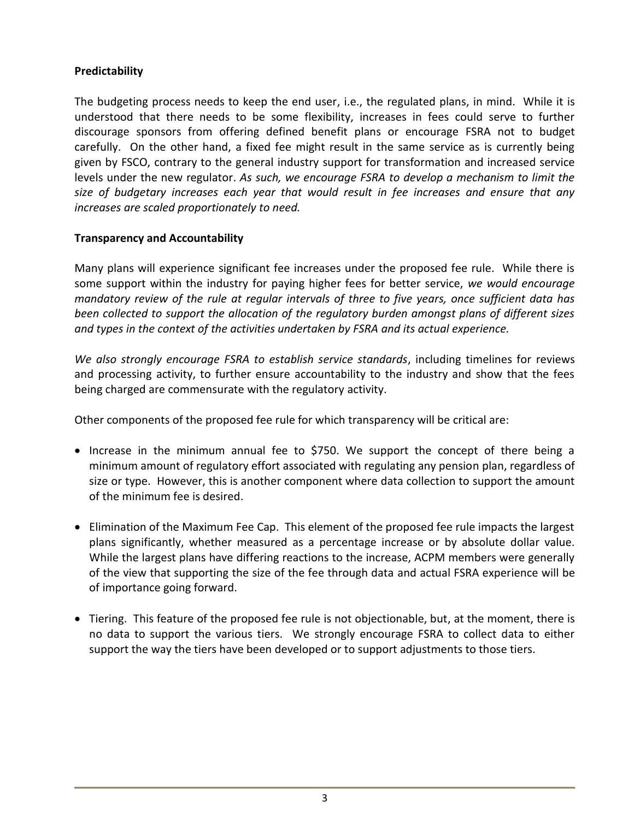# **Predictability**

The budgeting process needs to keep the end user, i.e., the regulated plans, in mind. While it is understood that there needs to be some flexibility, increases in fees could serve to further discourage sponsors from offering defined benefit plans or encourage FSRA not to budget carefully. On the other hand, a fixed fee might result in the same service as is currently being given by FSCO, contrary to the general industry support for transformation and increased service levels under the new regulator. *As such, we encourage FSRA to develop a mechanism to limit the size of budgetary increases each year that would result in fee increases and ensure that any increases are scaled proportionately to need.*

### **Transparency and Accountability**

Many plans will experience significant fee increases under the proposed fee rule. While there is some support within the industry for paying higher fees for better service, *we would encourage mandatory review of the rule at regular intervals of three to five years, once sufficient data has been collected to support the allocation of the regulatory burden amongst plans of different sizes and types in the context of the activities undertaken by FSRA and its actual experience.*

*We also strongly encourage FSRA to establish service standards*, including timelines for reviews and processing activity, to further ensure accountability to the industry and show that the fees being charged are commensurate with the regulatory activity.

Other components of the proposed fee rule for which transparency will be critical are:

- Increase in the minimum annual fee to \$750. We support the concept of there being a minimum amount of regulatory effort associated with regulating any pension plan, regardless of size or type. However, this is another component where data collection to support the amount of the minimum fee is desired.
- Elimination of the Maximum Fee Cap. This element of the proposed fee rule impacts the largest plans significantly, whether measured as a percentage increase or by absolute dollar value. While the largest plans have differing reactions to the increase, ACPM members were generally of the view that supporting the size of the fee through data and actual FSRA experience will be of importance going forward.
- Tiering. This feature of the proposed fee rule is not objectionable, but, at the moment, there is no data to support the various tiers. We strongly encourage FSRA to collect data to either support the way the tiers have been developed or to support adjustments to those tiers.